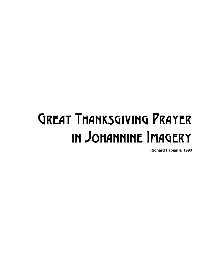## Great Thanksgiving Prayer in Johannine Imagery

**Richard Fabian © 1993**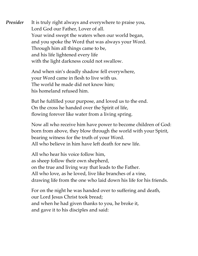**Presider** It is truly right always and everywhere to praise you, Lord God our Father, Lover of all. Your wind swept the waters when our world began, and you spoke the Word that was always your Word. Through him all things came to be, and his life lightened every life with the light darkness could not swallow.

> And when sin's deadly shadow fell everywhere, your Word came in flesh to live with us. The world he made did not know him; his homeland refused him.

But he fulfilled your purpose, and loved us to the end. On the cross he handed over the Spirit of life, flowing forever like water from a living spring.

Now all who receive him have power to become children of God: born from above, they blow through the world with your Spirit, bearing witness for the truth of your Word. All who believe in him have left death for new life.

All who hear his voice follow him, as sheep follow their own shepherd, on the true and living way that leads to the Father. All who love, as he loved, live like branches of a vine, drawing life from the one who laid down his life for his friends.

For on the night he was handed over to suffering and death, our Lord Jesus Christ took bread; and when he had given thanks to you, he broke it, and gave it to his disciples and said: